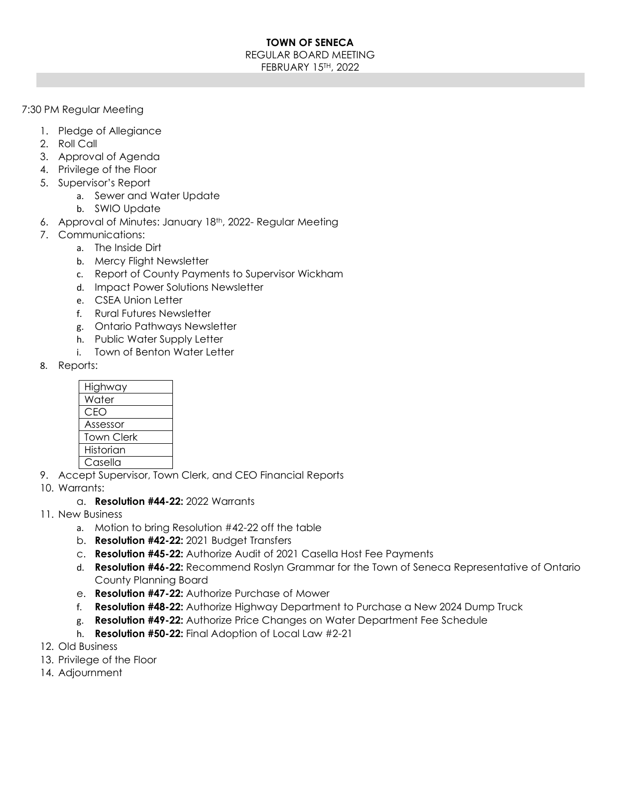#### **TOWN OF SENECA**  REGULAR BOARD MEETING FEBRUARY 15TH, 2022

#### 7:30 PM Regular Meeting

- 1. Pledge of Allegiance
- 2. Roll Call
- 3. Approval of Agenda
- 4. Privilege of the Floor
- 5. Supervisor's Report
	- a. Sewer and Water Update
	- b. SWIO Update
- 6. Approval of Minutes: January 18th, 2022- Regular Meeting
- 7. Communications:
	- a. The Inside Dirt
		- b. Mercy Flight Newsletter
		- c. Report of County Payments to Supervisor Wickham
		- d. Impact Power Solutions Newsletter
		- e. CSEA Union Letter
		- f. Rural Futures Newsletter
		- g. Ontario Pathways Newsletter
		- h. Public Water Supply Letter
		- i. Town of Benton Water Letter
- 8. Reports:

| Highway           |
|-------------------|
| Water             |
| CEO               |
| Assessor          |
| <b>Town Clerk</b> |
| Historian         |
| Casella           |

- 9. Accept Supervisor, Town Clerk, and CEO Financial Reports
- 10. Warrants:
	- a. **Resolution #44-22:** 2022 Warrants
- 11. New Business
	- a. Motion to bring Resolution #42-22 off the table
	- b. **Resolution #42-22:** 2021 Budget Transfers
	- c. **Resolution #45-22:** Authorize Audit of 2021 Casella Host Fee Payments
	- d. **Resolution #46-22:** Recommend Roslyn Grammar for the Town of Seneca Representative of Ontario County Planning Board
	- e. **Resolution #47-22:** Authorize Purchase of Mower
	- f. **Resolution #48-22:** Authorize Highway Department to Purchase a New 2024 Dump Truck
	- g. **Resolution #49-22:** Authorize Price Changes on Water Department Fee Schedule
	- h. **Resolution #50-22:** Final Adoption of Local Law #2-21
- 12. Old Business
- 13. Privilege of the Floor
- 14. Adjournment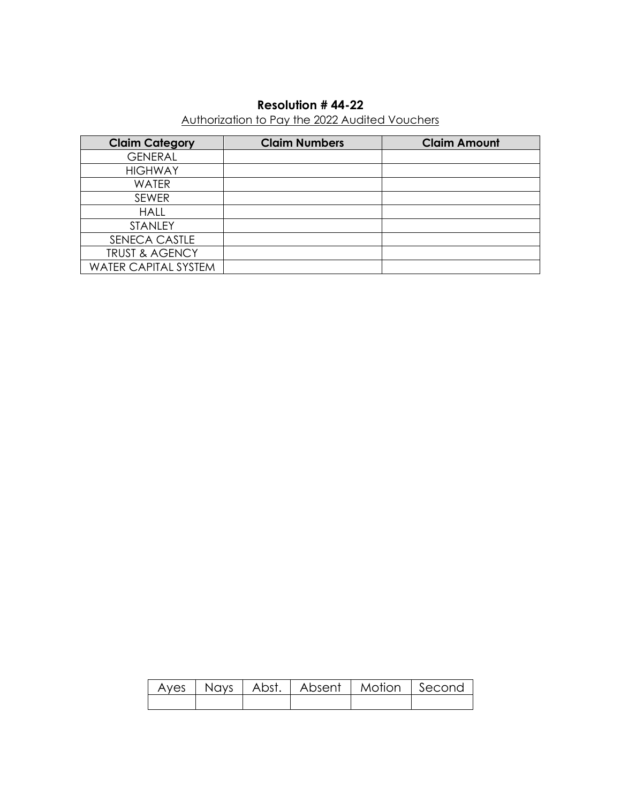# **Resolution # 44-22**

# Authorization to Pay the 2022 Audited Vouchers

| <b>Claim Category</b>       | <b>Claim Numbers</b> | <b>Claim Amount</b> |
|-----------------------------|----------------------|---------------------|
| <b>GENERAL</b>              |                      |                     |
| <b>HIGHWAY</b>              |                      |                     |
| <b>WATER</b>                |                      |                     |
| <b>SEWER</b>                |                      |                     |
| <b>HALL</b>                 |                      |                     |
| <b>STANLEY</b>              |                      |                     |
| SENECA CASTLE               |                      |                     |
| <b>TRUST &amp; AGENCY</b>   |                      |                     |
| <b>WATER CAPITAL SYSTEM</b> |                      |                     |

|  | Ayes   Nays   Abst.   Absent   Motion   Second |  |
|--|------------------------------------------------|--|
|  |                                                |  |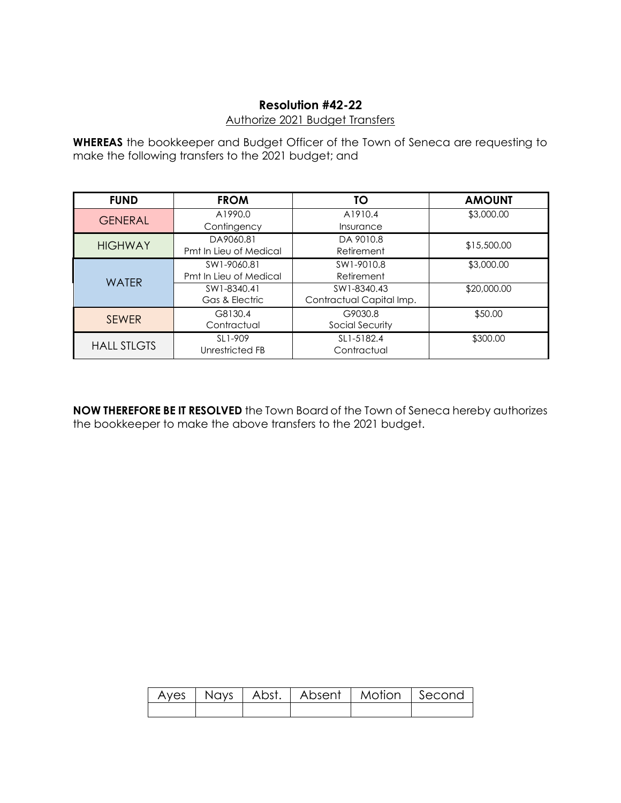## **Resolution #42-22**

### Authorize 2021 Budget Transfers

**WHEREAS** the bookkeeper and Budget Officer of the Town of Seneca are requesting to make the following transfers to the 2021 budget; and

| <b>FUND</b>        | <b>FROM</b>            | <b>TO</b>                | <b>AMOUNT</b> |
|--------------------|------------------------|--------------------------|---------------|
| <b>GENERAL</b>     | A1990.0                | A1910.4                  | \$3,000.00    |
|                    | Contingency            | Insurance                |               |
| <b>HIGHWAY</b>     | DA9060.81              | DA 9010.8                | \$15,500.00   |
|                    | Pmt In Lieu of Medical | Retirement               |               |
|                    | SW1-9060.81            | SW1-9010.8               | \$3,000.00    |
| <b>WATFR</b>       | Pmt In Lieu of Medical | Retirement               |               |
|                    | SW1-8340.41            | SW1-8340.43              | \$20,000.00   |
|                    | Gas & Electric         | Contractual Capital Imp. |               |
| <b>SEWER</b>       | G8130.4                | G9030.8                  | \$50.00       |
|                    | Contractual            | Social Security          |               |
|                    | SL1-909                | SL1-5182.4               | \$300.00      |
| <b>HALL STLGTS</b> | Unrestricted FB        | Contractual              |               |

**NOW THEREFORE BE IT RESOLVED** the Town Board of the Town of Seneca hereby authorizes the bookkeeper to make the above transfers to the 2021 budget.

|  | Ayes   Nays   Abst.   Absent   Motion   Second |  |
|--|------------------------------------------------|--|
|  |                                                |  |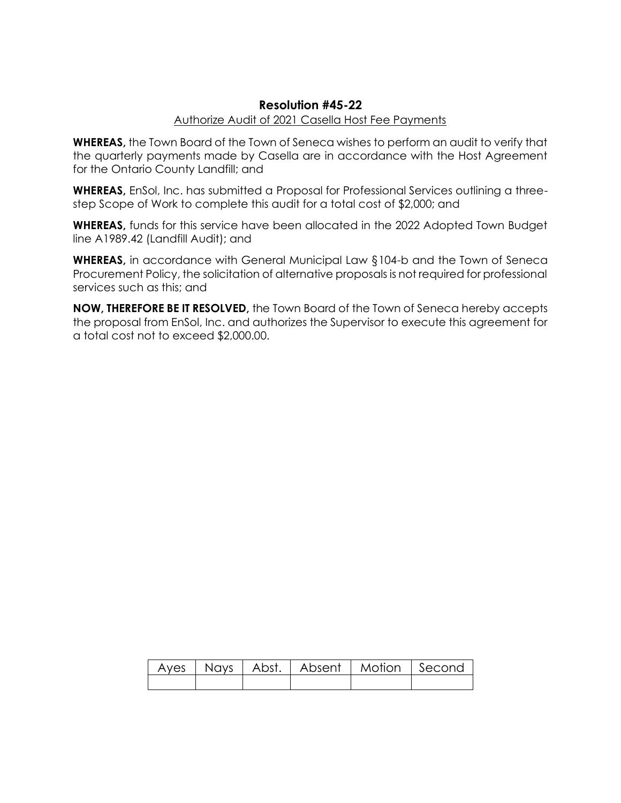## **Resolution #45-22**

### Authorize Audit of 2021 Casella Host Fee Payments

**WHEREAS,** the Town Board of the Town of Seneca wishes to perform an audit to verify that the quarterly payments made by Casella are in accordance with the Host Agreement for the Ontario County Landfill; and

**WHEREAS,** EnSol, Inc. has submitted a Proposal for Professional Services outlining a threestep Scope of Work to complete this audit for a total cost of \$2,000; and

**WHEREAS,** funds for this service have been allocated in the 2022 Adopted Town Budget line A1989.42 (Landfill Audit); and

**WHEREAS,** in accordance with General Municipal Law §104-b and the Town of Seneca Procurement Policy, the solicitation of alternative proposals is not required for professional services such as this; and

**NOW, THEREFORE BE IT RESOLVED,** the Town Board of the Town of Seneca hereby accepts the proposal from EnSol, Inc. and authorizes the Supervisor to execute this agreement for a total cost not to exceed \$2,000.00.

|  |  | Ayes   Nays   Abst.   Absent   Motion   Second |
|--|--|------------------------------------------------|
|  |  |                                                |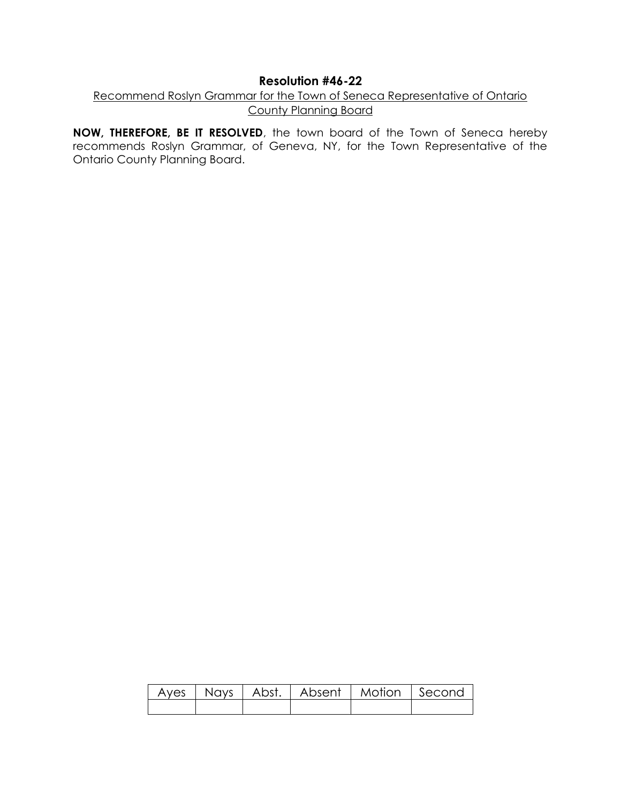## **Resolution #46-22**

## Recommend Roslyn Grammar for the Town of Seneca Representative of Ontario County Planning Board

**NOW, THEREFORE, BE IT RESOLVED**, the town board of the Town of Seneca hereby recommends Roslyn Grammar, of Geneva, NY, for the Town Representative of the Ontario County Planning Board.

|  | Ayes   Nays   Abst.   Absent   Motion   Second |  |
|--|------------------------------------------------|--|
|  |                                                |  |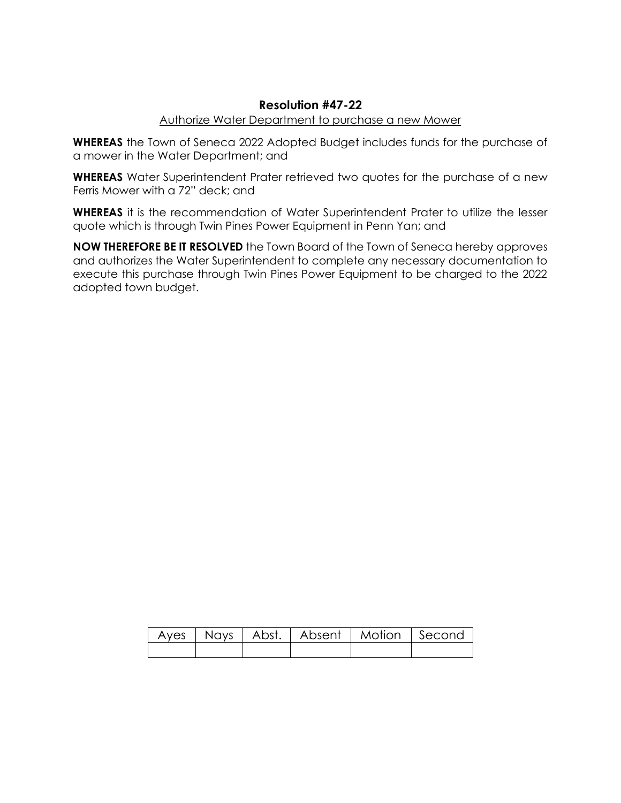## **Resolution #47-22**

#### Authorize Water Department to purchase a new Mower

**WHEREAS** the Town of Seneca 2022 Adopted Budget includes funds for the purchase of a mower in the Water Department; and

**WHEREAS** Water Superintendent Prater retrieved two quotes for the purchase of a new Ferris Mower with a 72" deck; and

**WHEREAS** it is the recommendation of Water Superintendent Prater to utilize the lesser quote which is through Twin Pines Power Equipment in Penn Yan; and

**NOW THEREFORE BE IT RESOLVED** the Town Board of the Town of Seneca hereby approves and authorizes the Water Superintendent to complete any necessary documentation to execute this purchase through Twin Pines Power Equipment to be charged to the 2022 adopted town budget.

|  | Ayes   Nays   Abst.   Absent   Motion   Second |  |
|--|------------------------------------------------|--|
|  |                                                |  |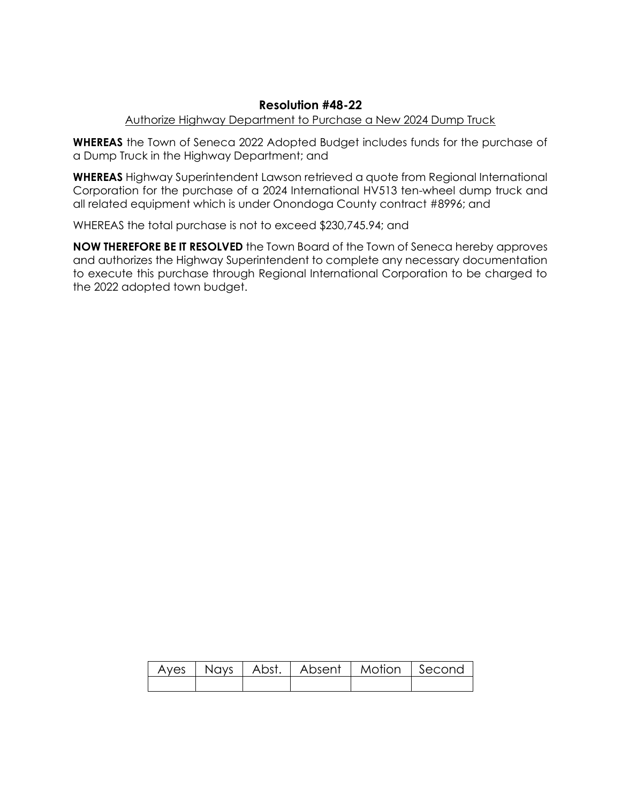## **Resolution #48-22**

## Authorize Highway Department to Purchase a New 2024 Dump Truck

**WHEREAS** the Town of Seneca 2022 Adopted Budget includes funds for the purchase of a Dump Truck in the Highway Department; and

**WHEREAS** Highway Superintendent Lawson retrieved a quote from Regional International Corporation for the purchase of a 2024 International HV513 ten-wheel dump truck and all related equipment which is under Onondoga County contract #8996; and

WHEREAS the total purchase is not to exceed \$230,745.94; and

**NOW THEREFORE BE IT RESOLVED** the Town Board of the Town of Seneca hereby approves and authorizes the Highway Superintendent to complete any necessary documentation to execute this purchase through Regional International Corporation to be charged to the 2022 adopted town budget.

|  | Ayes   Nays   Abst.   Absent   Motion   Second |  |
|--|------------------------------------------------|--|
|  |                                                |  |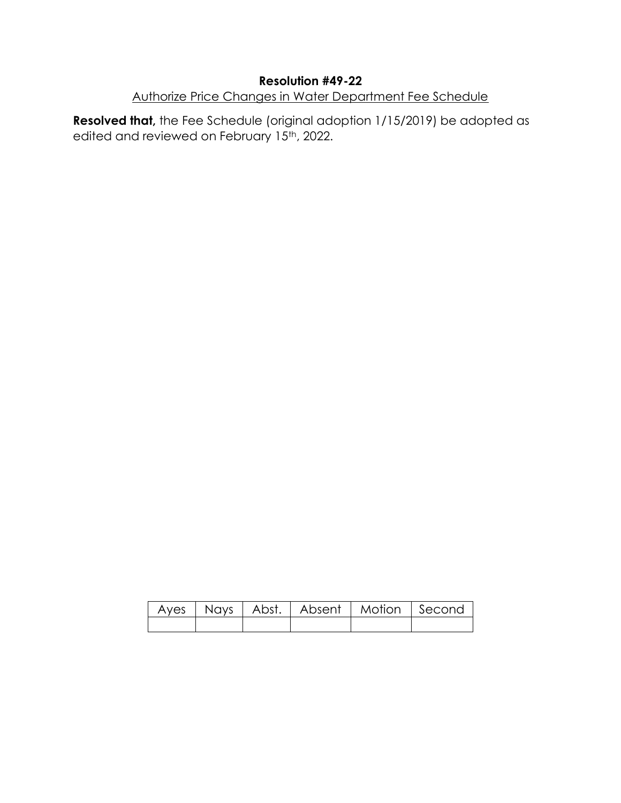# **Resolution #49-22**

# Authorize Price Changes in Water Department Fee Schedule

**Resolved that,** the Fee Schedule (original adoption 1/15/2019) be adopted as edited and reviewed on February 15<sup>th</sup>, 2022.

|  | Ayes   Nays   Abst.   Absent   Motion   Second |  |
|--|------------------------------------------------|--|
|  |                                                |  |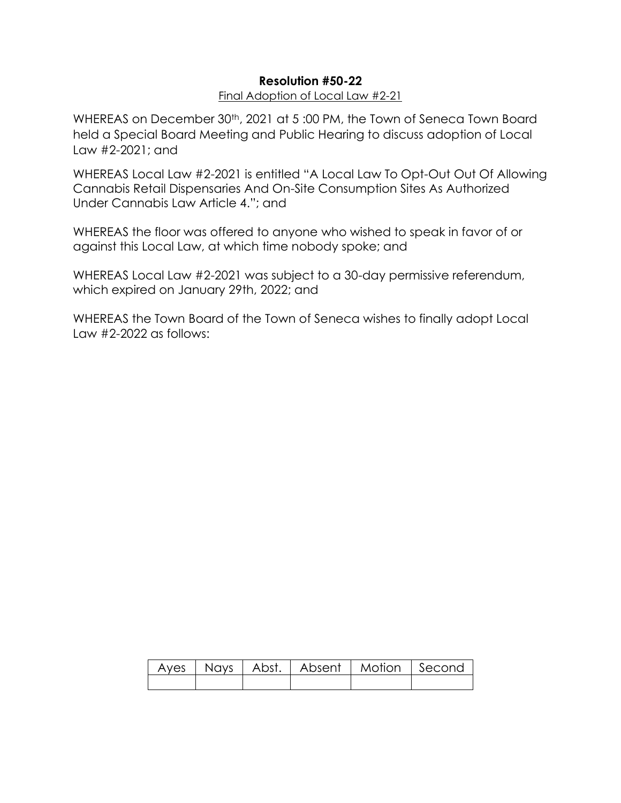# **Resolution #50-22**

## Final Adoption of Local Law #2-21

WHEREAS on December 30<sup>th</sup>, 2021 at 5:00 PM, the Town of Seneca Town Board held a Special Board Meeting and Public Hearing to discuss adoption of Local Law #2-2021; and

WHEREAS Local Law #2-2021 is entitled "A Local Law To Opt-Out Out Of Allowing Cannabis Retail Dispensaries And On-Site Consumption Sites As Authorized Under Cannabis Law Article 4."; and

WHEREAS the floor was offered to anyone who wished to speak in favor of or against this Local Law, at which time nobody spoke; and

WHEREAS Local Law #2-2021 was subject to a 30-day permissive referendum, which expired on January 29th, 2022; and

WHEREAS the Town Board of the Town of Seneca wishes to finally adopt Local Law #2-2022 as follows:

|  |  | Ayes   Nays   Abst.   Absent   Motion   Second <sub>1</sub> |
|--|--|-------------------------------------------------------------|
|  |  |                                                             |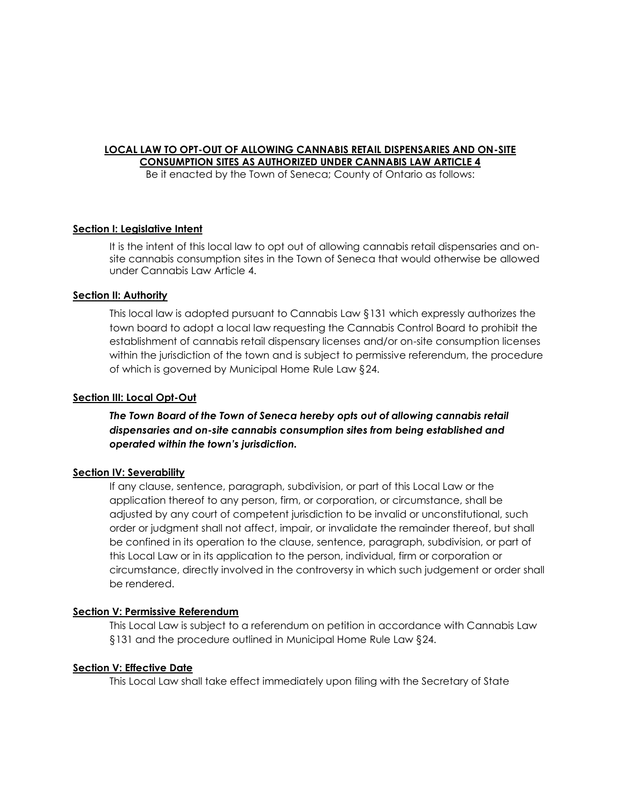### **LOCAL LAW TO OPT-OUT OF ALLOWING CANNABIS RETAIL DISPENSARIES AND ON-SITE CONSUMPTION SITES AS AUTHORIZED UNDER CANNABIS LAW ARTICLE 4**

Be it enacted by the Town of Seneca; County of Ontario as follows:

#### **Section I: Legislative Intent**

It is the intent of this local law to opt out of allowing cannabis retail dispensaries and onsite cannabis consumption sites in the Town of Seneca that would otherwise be allowed under Cannabis Law Article 4.

#### **Section II: Authority**

This local law is adopted pursuant to Cannabis Law §131 which expressly authorizes the town board to adopt a local law requesting the Cannabis Control Board to prohibit the establishment of cannabis retail dispensary licenses and/or on-site consumption licenses within the jurisdiction of the town and is subject to permissive referendum, the procedure of which is governed by Municipal Home Rule Law §24.

#### **Section III: Local Opt-Out**

*The Town Board of the Town of Seneca hereby opts out of allowing cannabis retail dispensaries and on-site cannabis consumption sites from being established and operated within the town's jurisdiction.* 

#### **Section IV: Severability**

If any clause, sentence, paragraph, subdivision, or part of this Local Law or the application thereof to any person, firm, or corporation, or circumstance, shall be adjusted by any court of competent jurisdiction to be invalid or unconstitutional, such order or judgment shall not affect, impair, or invalidate the remainder thereof, but shall be confined in its operation to the clause, sentence, paragraph, subdivision, or part of this Local Law or in its application to the person, individual, firm or corporation or circumstance, directly involved in the controversy in which such judgement or order shall be rendered.

#### **Section V: Permissive Referendum**

This Local Law is subject to a referendum on petition in accordance with Cannabis Law §131 and the procedure outlined in Municipal Home Rule Law §24.

#### **Section V: Effective Date**

This Local Law shall take effect immediately upon filing with the Secretary of State